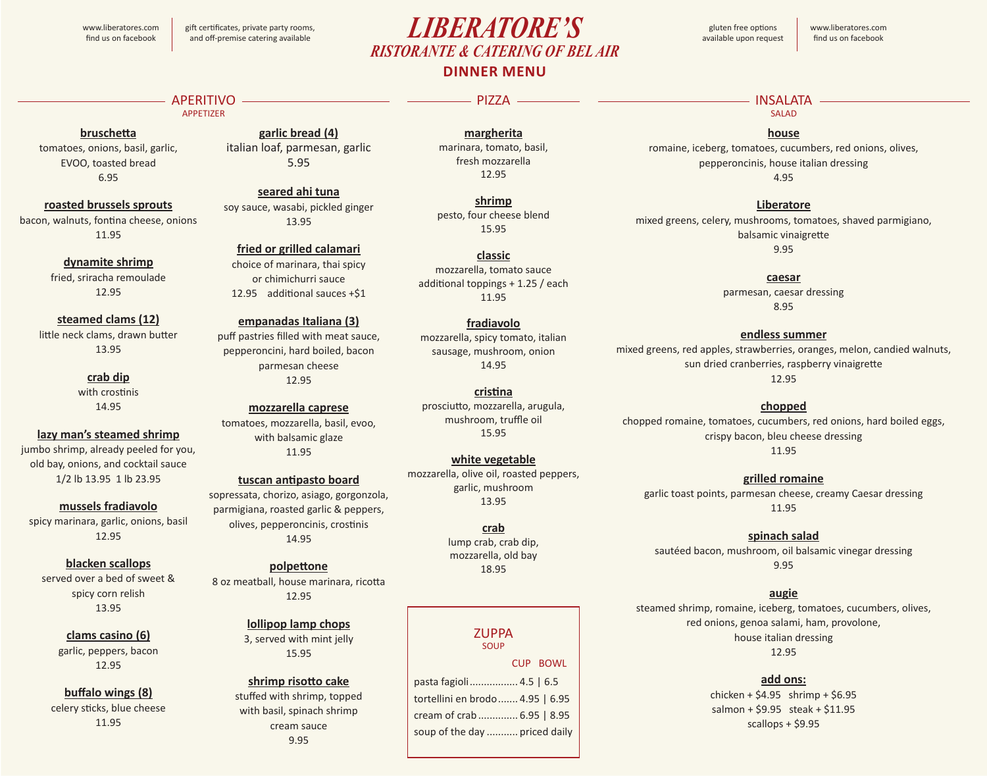www.liberatores.com find us on facebook

# **DINNER MENU** gluten free options *LIBERATORE'S* available upon request *RISTORANTE & CATERING OF BEL AIR*

www.liberatores.com find us on facebook

### APERITIVO APPETIZER

### **bruschetta**

tomatoes, onions, basil, garlic, EVOO, toasted bread 6.95

### **roasted brussels sprouts**

bacon, walnuts, fontina cheese, onions 11.95

> **dynamite shrimp** fried, sriracha remoulade 12.95

### **steamed clams (12)**

little neck clams, drawn butter 13.95

> **crab dip** with crostinis 14.95

### **lazy man's steamed shrimp**

jumbo shrimp, already peeled for you, old bay, onions, and cocktail sauce 1/2 lb 13.95 1 lb 23.95

**mussels fradiavolo** spicy marinara, garlic, onions, basil

12.95

### **blacken scallops**

served over a bed of sweet & spicy corn relish 13.95

> **clams casino (6)** garlic, peppers, bacon 12.95

### **buffalo wings (8)**

celery sticks, blue cheese 11.95

**garlic bread (4)** italian loaf, parmesan, garlic 5.95

### **seared ahi tuna**

soy sauce, wasabi, pickled ginger 13.95

**fried or grilled calamari**

choice of marinara, thai spicy or chimichurri sauce 12.95 additional sauces +\$1

### **empanadas Italiana (3)**

puff pastries filled with meat sauce, pepperoncini, hard boiled, bacon parmesan cheese 12.95

### **mozzarella caprese**

tomatoes, mozzarella, basil, evoo, with balsamic glaze 11.95

### **tuscan antipasto board**

sopressata, chorizo, asiago, gorgonzola, parmigiana, roasted garlic & peppers, olives, pepperoncinis, crostinis 14.95

# **polpettone**

8 oz meatball, house marinara, ricotta 12.95

### **lollipop lamp chops** 3, served with mint jelly 15.95

**shrimp risotto cake** stuffed with shrimp, topped with basil, spinach shrimp cream sauce 9.95

**margherita** marinara, tomato, basil, fresh mozzarella

PIZZA -

**shrimp** pesto, four cheese blend 15.95

**classic** mozzarella, tomato sauce additional toppings + 1.25 / each 11.95

mozzarella, spicy tomato, italian sausage, mushroom, onion 14.95

**cristina** prosciutto, mozzarella, arugula, mushroom, truffle oil 15.95

### mozzarella, olive oil, roasted peppers, garlic, mushroom 13.95

### **ZUPPA**

SOUP pasta fagioli................. 4.5 | 6.5 tortellini en brodo....... 4.95 | 6.95 cream of crab.............. 6.95 | 8.95 soup of the day ........... priced daily CUP BOWL

### **INSALATA** AND ALCOHOL: AND A RESERVE AND A RESERVE AND A RESERVE AND A RESERVE A RESERVE AND A RESERVE A RESERVE A SALAD

**house**

romaine, iceberg, tomatoes, cucumbers, red onions, olives, pepperoncinis, house italian dressing 4.95

**Liberatore** mixed greens, celery, mushrooms, tomatoes, shaved parmigiano, balsamic vinaigrette

9.95

### **caesar**

parmesan, caesar dressing 8.95

### **endless summer**

mixed greens, red apples, strawberries, oranges, melon, candied walnuts, sun dried cranberries, raspberry vinaigrette 12.95

### **chopped**

chopped romaine, tomatoes, cucumbers, red onions, hard boiled eggs, crispy bacon, bleu cheese dressing 11.95

**grilled romaine**

garlic toast points, parmesan cheese, creamy Caesar dressing 11.95

### **spinach salad**

sautéed bacon, mushroom, oil balsamic vinegar dressing 9.95

### **augie**

steamed shrimp, romaine, iceberg, tomatoes, cucumbers, olives, red onions, genoa salami, ham, provolone, house italian dressing 12.95

### **add ons:**

 $chicken + $4.95$  shrimp + \$6.95 salmon + \$9.95 steak + \$11.95 scallops + \$9.95

# 12.95

**fradiavolo**

**white vegetable**

**crab** lump crab, crab dip, mozzarella, old bay 18.95